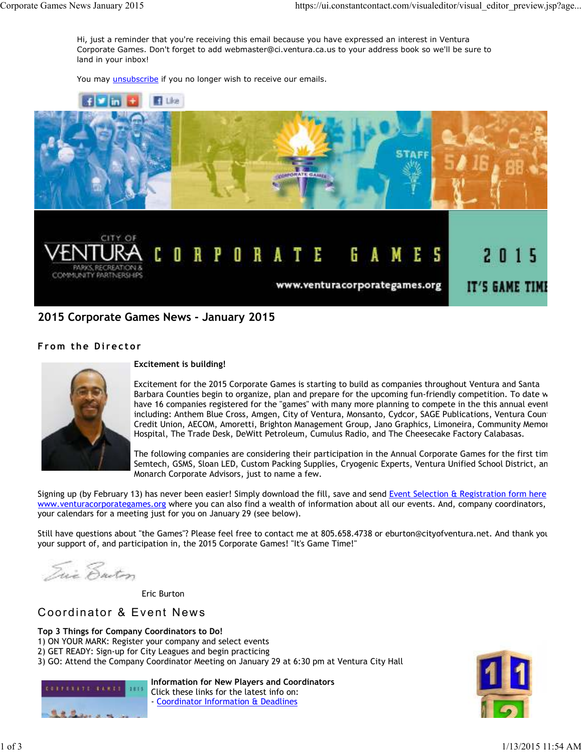Hi, just a reminder that you're receiving this email because you have expressed an interest in Ventura Corporate Games. Don't forget to add webmaster@ci.ventura.ca.us to your address book so we'll be sure to land in your inbox!

You may *unsubscribe* if you no longer wish to receive our emails.



## **2015 Corporate Games News - January 2015**

## **From the Director**



#### **Excitement is building!**

Excitement for the 2015 Corporate Games is starting to build as companies throughout Ventura and Santa Barbara Counties begin to organize, plan and prepare for the upcoming fun-friendly competition. To date w have 16 companies registered for the "games" with many more planning to compete in the this annual event including: Anthem Blue Cross, Amgen, City of Ventura, Monsanto, Cydcor, SAGE Publications, Ventura Count Credit Union, AECOM, Amoretti, Brighton Management Group, Jano Graphics, Limoneira, Community Memorial Hospital, The Trade Desk, DeWitt Petroleum, Cumulus Radio, and The Cheesecake Factory Calabasas.

The following companies are considering their participation in the Annual Corporate Games for the first tim Semtech, GSMS, Sloan LED, Custom Packing Supplies, Cryogenic Experts, Ventura Unified School District, an Monarch Corporate Advisors, just to name a few.

Signing up (by February 13) has never been easier! Simply download the fill, save and send Event Selection & Registration form here www.venturacorporategames.org where you can also find a wealth of information about all our events. And, company coordinators, your calendars for a meeting just for you on January 29 (see below).

Still have questions about "the Games"? Please feel free to contact me at 805.658.4738 or eburton@cityofventura.net. And thank you your support of, and participation in, the 2015 Corporate Games! "It's Game Time!"

Eric Ensten

CONTRACTOR CONTRACTO

Eric Burton

# Coordinator & Event News

## **Top 3 Things for Company Coordinators to Do!**

-1115

- 1) ON YOUR MARK: Register your company and select events
- 2) GET READY: Sign-up for City Leagues and begin practicing
- 3) GO: Attend the Company Coordinator Meeting on January 29 at 6:30 pm at Ventura City Hall



**Information for New Players and Coordinators** Click these links for the latest info on: - Coordinator Information & Deadlines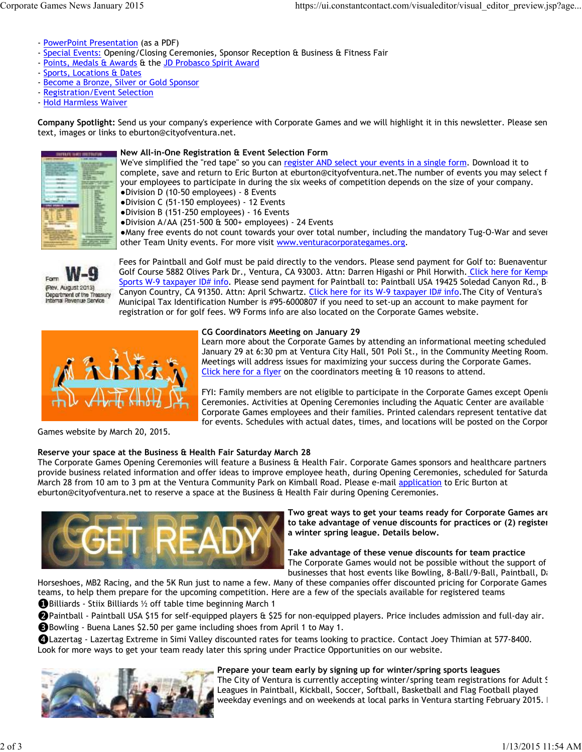- PowerPoint Presentation (as a PDF)
- Special Events: Opening/Closing Ceremonies, Sponsor Reception & Business & Fitness Fair
- Points, Medals & Awards & the JD Probasco Spirit Award
- Sports, Locations & Dates
- Become a Bronze, Silver or Gold Sponsor
- Registration/Event Selection
- Hold Harmless Waiver

**Company Spotlight:** Send us your company's experience with Corporate Games and we will highlight it in this newsletter. Please send text, images or links to eburton@cityofventura.net.



#### **New All-in-One Registration & Event Selection Form**

We've simplified the "red tape" so you can register AND select your events in a single form. Download it to complete, save and return to Eric Burton at eburton@cityofventura.net.The number of events you may select f your employees to participate in during the six weeks of competition depends on the size of your company. ●Division D (10-50 employees) - 8 Events

●Division C (51-150 employees) - 12 Events

●Division B (151-250 employees) - 16 Events

●Division A/AA (251-500 & 500+ employees) - 24 Events

●Many free events do not count towards your over total number, including the mandatory Tug-O-War and seven other Team Unity events. For more visit www.venturacorporategames.org.



Fees for Paintball and Golf must be paid directly to the vendors. Please send payment for Golf to: Buenaventur Golf Course 5882 Olives Park Dr., Ventura, CA 93003. Attn: Darren Higashi or Phil Horwith. Click here for Kempe Sports W-9 taxpayer ID# info. Please send payment for Paintball to: Paintball USA 19425 Soledad Canyon Rd., B-Canyon Country, CA 91350. Attn: April Schwartz. Click here for its W-9 taxpayer ID# info. The City of Ventura's Municipal Tax Identification Number is #95-6000807 if you need to set-up an account to make payment for registration or for golf fees. W9 Forms info are also located on the Corporate Games website.



#### **CG Coordinators Meeting on January 29**

Learn more about the Corporate Games by attending an informational meeting scheduled January 29 at 6:30 pm at Ventura City Hall, 501 Poli St., in the Community Meeting Room. Meetings will address issues for maximizing your success during the Corporate Games. Click here for a flyer on the coordinators meeting & 10 reasons to attend.

FYI: Family members are not eligible to participate in the Corporate Games except Openin Ceremonies. Activities at Opening Ceremonies including the Aquatic Center are available Corporate Games employees and their families. Printed calendars represent tentative dat for events. Schedules with actual dates, times, and locations will be posted on the Corpor

Games website by March 20, 2015.

### **Reserve your space at the Business & Health Fair Saturday March 28**

The Corporate Games Opening Ceremonies will feature a Business & Health Fair. Corporate Games sponsors and healthcare partners will provide business related information and offer ideas to improve employee heath, during Opening Ceremonies, scheduled for Saturda March 28 from 10 am to 3 pm at the Ventura Community Park on Kimball Road. Please e-mail application to Eric Burton at eburton@cityofventura.net to reserve a space at the Business & Health Fair during Opening Ceremonies.



**Two great ways to get your teams ready for Corporate Games are (1)** to take advantage of venue discounts for practices or (2) register **a winter spring league. Details below.** 

**Take advantage of these venue discounts for team practice**  The Corporate Games would not be possible without the support of businesses that host events like Bowling, 8-Ball/9-Ball, Paintball, Da

Horseshoes, MB2 Racing, and the 5K Run just to name a few. Many of these companies offer discounted pricing for Corporate Games teams, to help them prepare for the upcoming competition. Here are a few of the specials available for registered teams ❶Billiards - Stiix Billiards ½ off table time beginning March 1

❷Paintball - Paintball USA \$15 for self-equipped players & \$25 for non-equipped players. Price includes admission and full-day air.

❸Bowling - Buena Lanes \$2.50 per game including shoes from April 1 to May 1.

❹Lazertag - Lazertag Extreme in Simi Valley discounted rates for teams looking to practice. Contact Joey Thimian at 577-8400. Look for more ways to get your team ready later this spring under Practice Opportunities on our website.



#### **Prepare your team early by signing up for winter/spring sports leagues**

The City of Ventura is currently accepting winter/spring team registrations for Adult S Leagues in Paintball, Kickball, Soccer, Softball, Basketball and Flag Football played weekday evenings and on weekends at local parks in Ventura starting February 2015. I